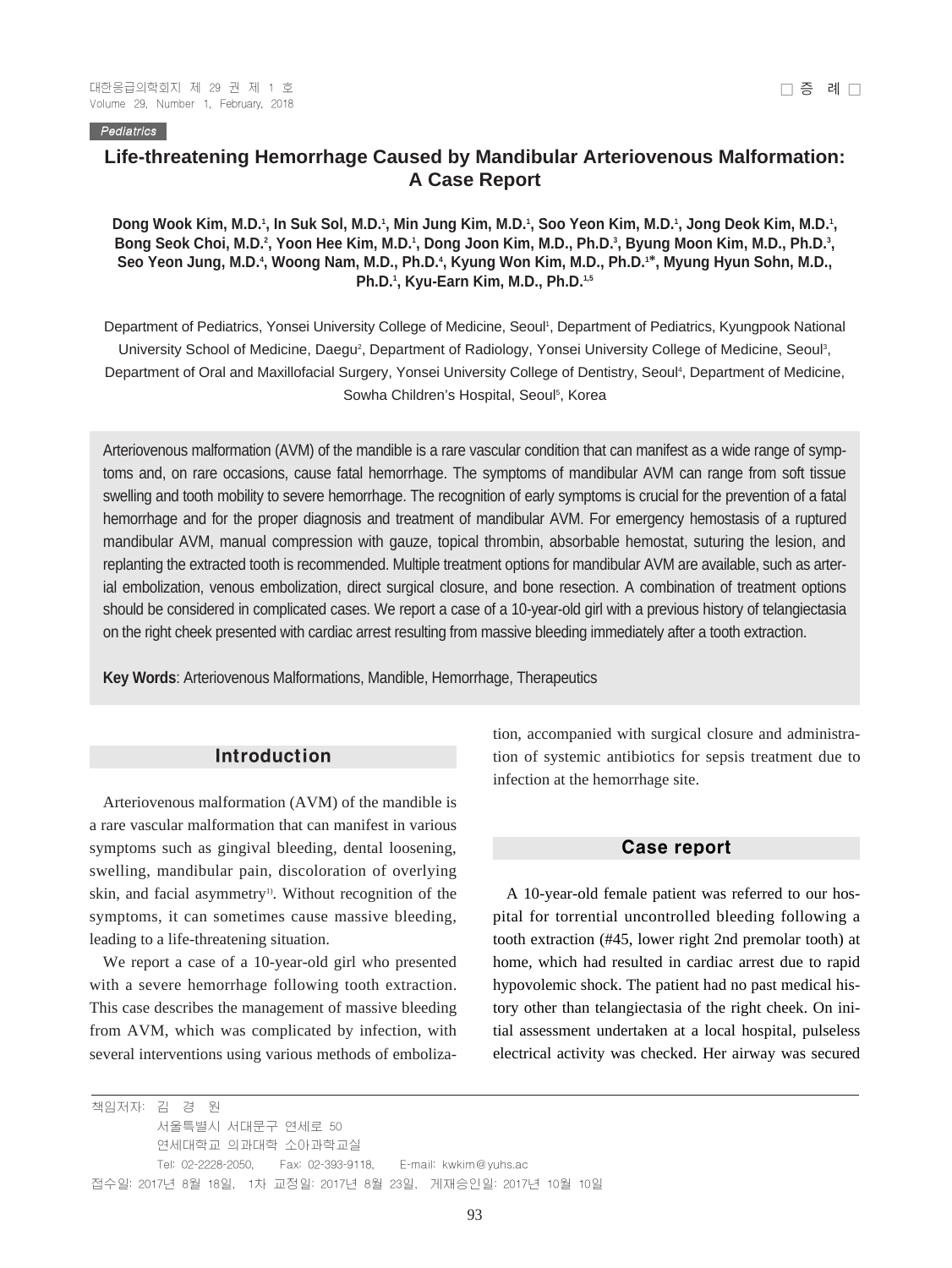#### **Pediatrics**

# **Life-threatening Hemorrhage Caused by Mandibular Arteriovenous Malformation: A Case Report**

### Dong Wook Kim, M.D.', In Suk Sol, M.D.', Min Jung Kim, M.D.', Soo Yeon Kim, M.D.', Jong Deok Kim, M.D.', Bong Seok Choi, M.D.<sup>2</sup>, Yoon Hee Kim, M.D.<sup>1</sup>, Dong Joon Kim, M.D., Ph.D.<sup>3</sup>, Byung Moon Kim, M.D., Ph.D.<sup>3</sup>, **Seo Yeon Jung, M.D.4 , Woong Nam, M.D., Ph.D.4 , Kyung Won Kim, M.D., Ph.D.1\*, Myung Hyun Sohn, M.D., Ph.D.1 , Kyu-Earn Kim, M.D., Ph.D.1,5**

Department of Pediatrics, Yonsei University College of Medicine, Seoul<sup>1</sup>, Department of Pediatrics, Kyungpook National University School of Medicine, Daegu<sup>2</sup>, Department of Radiology, Yonsei University College of Medicine, Seoul<sup>3</sup>, Department of Oral and Maxillofacial Surgery, Yonsei University College of Dentistry, Seoul<sup>4</sup>, Department of Medicine, Sowha Children's Hospital, Seoul<sup>5</sup>, Korea

Arteriovenous malformation (AVM) of the mandible is a rare vascular condition that can manifest as a wide range of symptoms and, on rare occasions, cause fatal hemorrhage. The symptoms of mandibular AVM can range from soft tissue swelling and tooth mobility to severe hemorrhage. The recognition of early symptoms is crucial for the prevention of a fatal hemorrhage and for the proper diagnosis and treatment of mandibular AVM. For emergency hemostasis of a ruptured mandibular AVM, manual compression with gauze, topical thrombin, absorbable hemostat, suturing the lesion, and replanting the extracted tooth is recommended. Multiple treatment options for mandibular AVM are available, such as arterial embolization, venous embolization, direct surgical closure, and bone resection. A combination of treatment options should be considered in complicated cases. We report a case of a 10-year-old girl with a previous history of telangiectasia on the right cheek presented with cardiac arrest resulting from massive bleeding immediately after a tooth extraction.

**Key Words**: Arteriovenous Malformations, Mandible, Hemorrhage, Therapeutics

### Introduction

Arteriovenous malformation (AVM) of the mandible is a rare vascular malformation that can manifest in various symptoms such as gingival bleeding, dental loosening, swelling, mandibular pain, discoloration of overlying skin, and facial asymmetry<sup>1)</sup>. Without recognition of the symptoms, it can sometimes cause massive bleeding, leading to a life-threatening situation.

We report a case of a 10-year-old girl who presented with a severe hemorrhage following tooth extraction. This case describes the management of massive bleeding from AVM, which was complicated by infection, with several interventions using various methods of emboliza-

tion, accompanied with surgical closure and administration of systemic antibiotics for sepsis treatment due to infection at the hemorrhage site.

#### Case report

A 10-year-old female patient was referred to our hospital for torrential uncontrolled bleeding following a tooth extraction (#45, lower right 2nd premolar tooth) at home, which had resulted in cardiac arrest due to rapid hypovolemic shock. The patient had no past medical history other than telangiectasia of the right cheek. On initial assessment undertaken at a local hospital, pulseless electrical activity was checked. Her airway was secured

책임저자: 김 경 원 서울특별시 서대문구 연세로 50 연세대학교 의과대학 소아과학교실 Tel: 02-2228-2050, Fax: 02-393-9118, E-mail: kwkim@yuhs.ac 접수일: 2017년 8월 18일, 1차 교정일: 2017년 8월 23일, 게재승인일: 2017년 10월 10일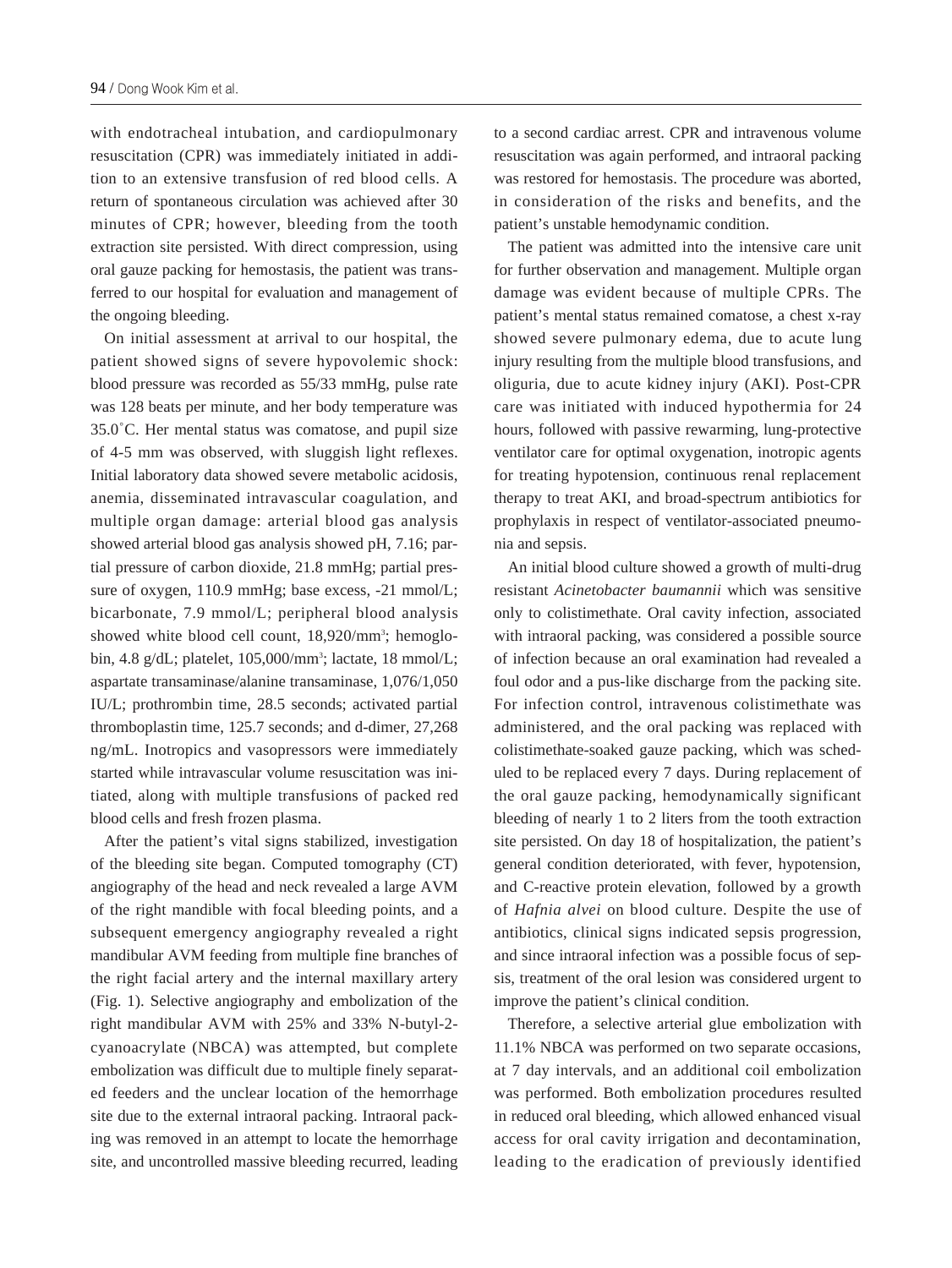with endotracheal intubation, and cardiopulmonary resuscitation (CPR) was immediately initiated in addition to an extensive transfusion of red blood cells. A return of spontaneous circulation was achieved after 30 minutes of CPR; however, bleeding from the tooth extraction site persisted. With direct compression, using oral gauze packing for hemostasis, the patient was transferred to our hospital for evaluation and management of the ongoing bleeding.

On initial assessment at arrival to our hospital, the patient showed signs of severe hypovolemic shock: blood pressure was recorded as 55/33 mmHg, pulse rate was 128 beats per minute, and her body temperature was  $35.0^{\circ}$ C. Her mental status was comatose, and pupil size of 4-5 mm was observed, with sluggish light reflexes. Initial laboratory data showed severe metabolic acidosis, anemia, disseminated intravascular coagulation, and multiple organ damage: arterial blood gas analysis showed arterial blood gas analysis showed pH, 7.16; partial pressure of carbon dioxide, 21.8 mmHg; partial pressure of oxygen, 110.9 mmHg; base excess, -21 mmol/L; bicarbonate, 7.9 mmol/L; peripheral blood analysis showed white blood cell count, 18,920/mm<sup>3</sup>; hemoglobin, 4.8 g/dL; platelet, 105,000/mm<sup>3</sup>; lactate, 18 mmol/L; aspartate transaminase/alanine transaminase, 1,076/1,050 IU/L; prothrombin time, 28.5 seconds; activated partial thromboplastin time, 125.7 seconds; and d-dimer, 27,268 ng/mL. Inotropics and vasopressors were immediately started while intravascular volume resuscitation was initiated, along with multiple transfusions of packed red blood cells and fresh frozen plasma.

After the patient's vital signs stabilized, investigation of the bleeding site began. Computed tomography (CT) angiography of the head and neck revealed a large AVM of the right mandible with focal bleeding points, and a subsequent emergency angiography revealed a right mandibular AVM feeding from multiple fine branches of the right facial artery and the internal maxillary artery (Fig. 1). Selective angiography and embolization of the right mandibular AVM with 25% and 33% N-butyl-2 cyanoacrylate (NBCA) was attempted, but complete embolization was difficult due to multiple finely separated feeders and the unclear location of the hemorrhage site due to the external intraoral packing. Intraoral packing was removed in an attempt to locate the hemorrhage site, and uncontrolled massive bleeding recurred, leading to a second cardiac arrest. CPR and intravenous volume resuscitation was again performed, and intraoral packing was restored for hemostasis. The procedure was aborted, in consideration of the risks and benefits, and the patient's unstable hemodynamic condition.

The patient was admitted into the intensive care unit for further observation and management. Multiple organ damage was evident because of multiple CPRs. The patient's mental status remained comatose, a chest x-ray showed severe pulmonary edema, due to acute lung injury resulting from the multiple blood transfusions, and oliguria, due to acute kidney injury (AKI). Post-CPR care was initiated with induced hypothermia for 24 hours, followed with passive rewarming, lung-protective ventilator care for optimal oxygenation, inotropic agents for treating hypotension, continuous renal replacement therapy to treat AKI, and broad-spectrum antibiotics for prophylaxis in respect of ventilator-associated pneumonia and sepsis.

An initial blood culture showed a growth of multi-drug resistant *Acinetobacter baumannii* which was sensitive only to colistimethate. Oral cavity infection, associated with intraoral packing, was considered a possible source of infection because an oral examination had revealed a foul odor and a pus-like discharge from the packing site. For infection control, intravenous colistimethate was administered, and the oral packing was replaced with colistimethate-soaked gauze packing, which was scheduled to be replaced every 7 days. During replacement of the oral gauze packing, hemodynamically significant bleeding of nearly 1 to 2 liters from the tooth extraction site persisted. On day 18 of hospitalization, the patient's general condition deteriorated, with fever, hypotension, and C-reactive protein elevation, followed by a growth of *Hafnia alvei* on blood culture. Despite the use of antibiotics, clinical signs indicated sepsis progression, and since intraoral infection was a possible focus of sepsis, treatment of the oral lesion was considered urgent to improve the patient's clinical condition.

Therefore, a selective arterial glue embolization with 11.1% NBCA was performed on two separate occasions, at 7 day intervals, and an additional coil embolization was performed. Both embolization procedures resulted in reduced oral bleeding, which allowed enhanced visual access for oral cavity irrigation and decontamination, leading to the eradication of previously identified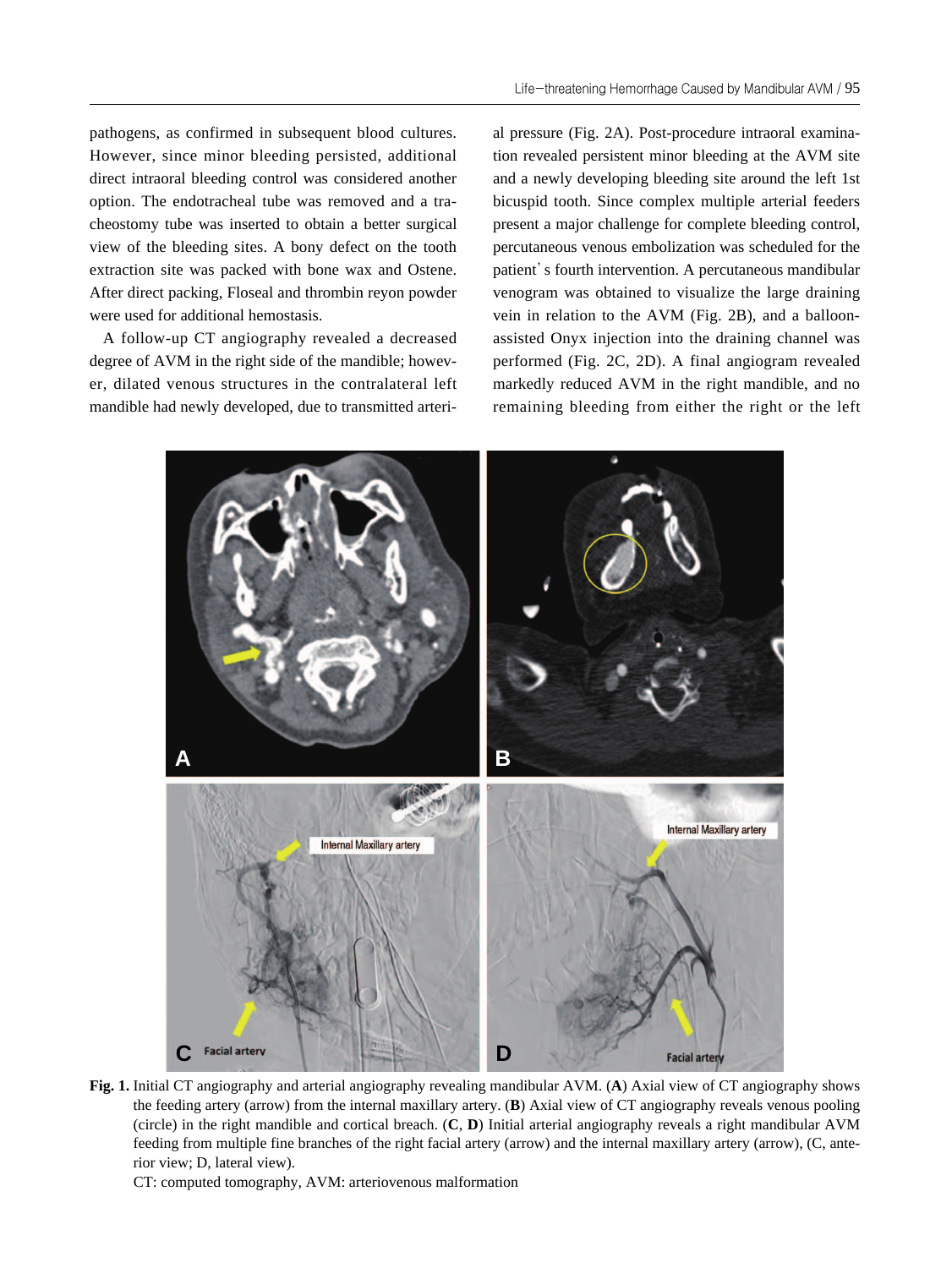pathogens, as confirmed in subsequent blood cultures. However, since minor bleeding persisted, additional direct intraoral bleeding control was considered another option. The endotracheal tube was removed and a tracheostomy tube was inserted to obtain a better surgical view of the bleeding sites. A bony defect on the tooth extraction site was packed with bone wax and Ostene. After direct packing, Floseal and thrombin reyon powder were used for additional hemostasis.

A follow-up CT angiography revealed a decreased degree of AVM in the right side of the mandible; however, dilated venous structures in the contralateral left mandible had newly developed, due to transmitted arterial pressure (Fig. 2A). Post-procedure intraoral examination revealed persistent minor bleeding at the AVM site and a newly developing bleeding site around the left 1st bicuspid tooth. Since complex multiple arterial feeders present a major challenge for complete bleeding control, percutaneous venous embolization was scheduled for the patient's fourth intervention. A percutaneous mandibular venogram was obtained to visualize the large draining vein in relation to the AVM (Fig. 2B), and a balloonassisted Onyx injection into the draining channel was performed (Fig. 2C, 2D). A final angiogram revealed markedly reduced AVM in the right mandible, and no remaining bleeding from either the right or the left



**Fig. 1.** Initial CT angiography and arterial angiography revealing mandibular AVM. (**A**) Axial view of CT angiography shows the feeding artery (arrow) from the internal maxillary artery. (**B**) Axial view of CT angiography reveals venous pooling (circle) in the right mandible and cortical breach. (**C**, **D**) Initial arterial angiography reveals a right mandibular AVM feeding from multiple fine branches of the right facial artery (arrow) and the internal maxillary artery (arrow), (C, anterior view; D, lateral view).

CT: computed tomography, AVM: arteriovenous malformation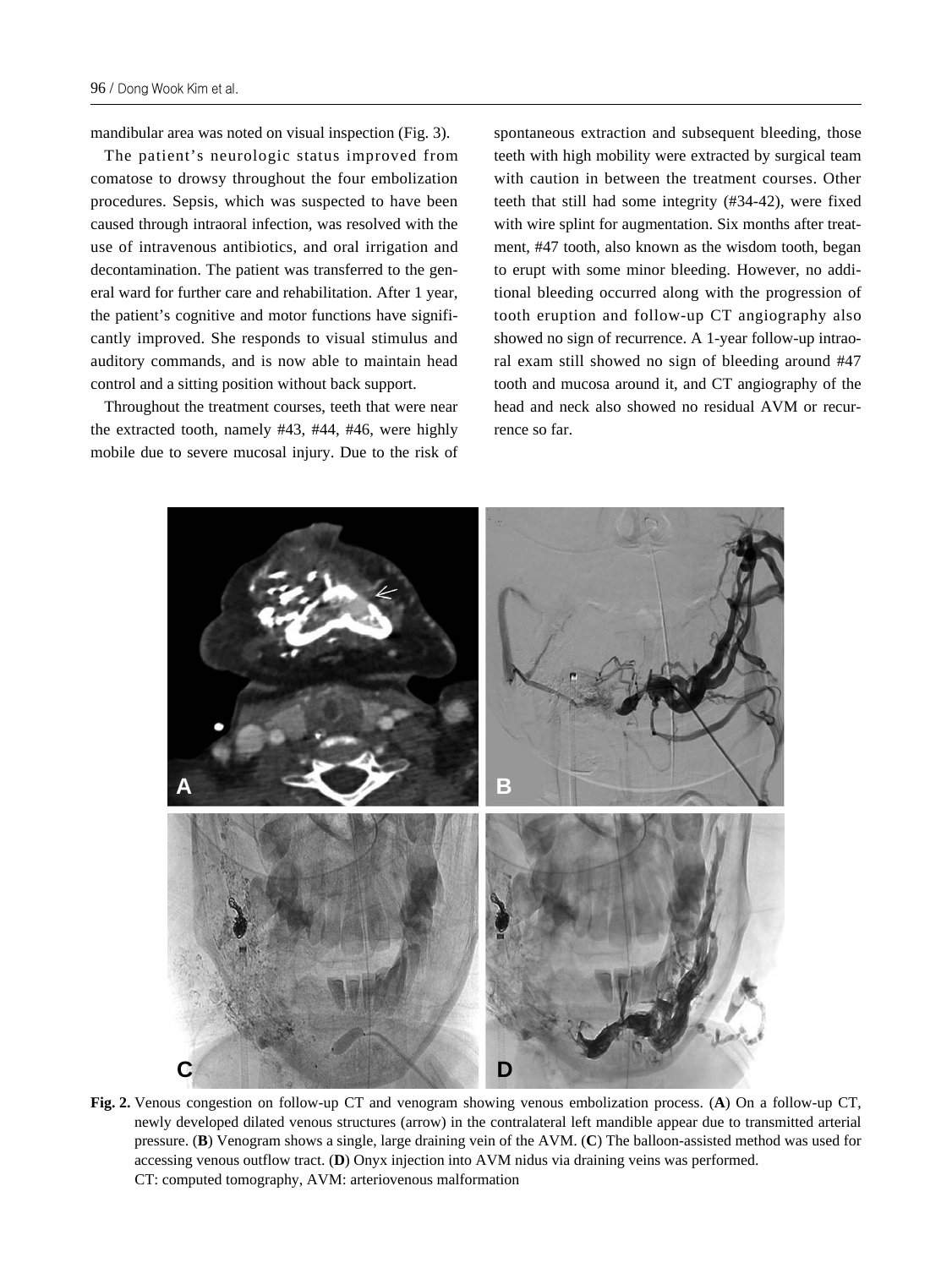mandibular area was noted on visual inspection (Fig. 3).

The patient's neurologic status improved from comatose to drowsy throughout the four embolization procedures. Sepsis, which was suspected to have been caused through intraoral infection, was resolved with the use of intravenous antibiotics, and oral irrigation and decontamination. The patient was transferred to the general ward for further care and rehabilitation. After 1 year, the patient's cognitive and motor functions have significantly improved. She responds to visual stimulus and auditory commands, and is now able to maintain head control and a sitting position without back support.

Throughout the treatment courses, teeth that were near the extracted tooth, namely #43, #44, #46, were highly mobile due to severe mucosal injury. Due to the risk of spontaneous extraction and subsequent bleeding, those teeth with high mobility were extracted by surgical team with caution in between the treatment courses. Other teeth that still had some integrity (#34-42), were fixed with wire splint for augmentation. Six months after treatment, #47 tooth, also known as the wisdom tooth, began to erupt with some minor bleeding. However, no additional bleeding occurred along with the progression of tooth eruption and follow-up CT angiography also showed no sign of recurrence. A 1-year follow-up intraoral exam still showed no sign of bleeding around #47 tooth and mucosa around it, and CT angiography of the head and neck also showed no residual AVM or recurrence so far.



**Fig. 2.** Venous congestion on follow-up CT and venogram showing venous embolization process. (**A**) On a follow-up CT, newly developed dilated venous structures (arrow) in the contralateral left mandible appear due to transmitted arterial pressure. (**B**) Venogram shows a single, large draining vein of the AVM. (**C**) The balloon-assisted method was used for accessing venous outflow tract. (**D**) Onyx injection into AVM nidus via draining veins was performed. CT: computed tomography, AVM: arteriovenous malformation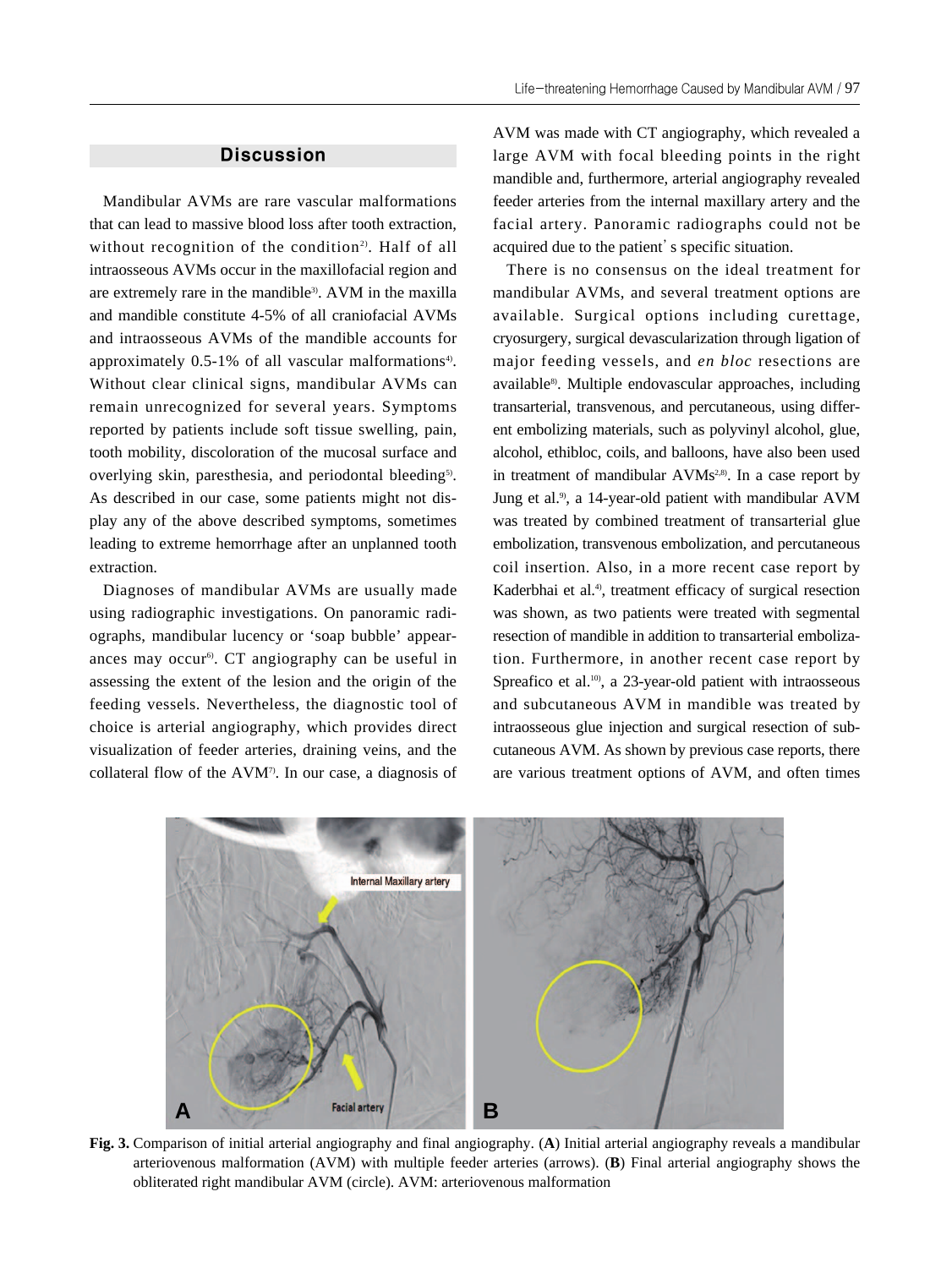## **Discussion**

Mandibular AVMs are rare vascular malformations that can lead to massive blood loss after tooth extraction, without recognition of the condition<sup>2)</sup>. Half of all intraosseous AVMs occur in the maxillofacial region and are extremely rare in the mandible<sup>3)</sup>. AVM in the maxilla and mandible constitute 4-5% of all craniofacial AVMs and intraosseous AVMs of the mandible accounts for approximately  $0.5-1\%$  of all vascular malformations<sup>4)</sup>. Without clear clinical signs, mandibular AVMs can remain unrecognized for several years. Symptoms reported by patients include soft tissue swelling, pain, tooth mobility, discoloration of the mucosal surface and overlying skin, paresthesia, and periodontal bleeding<sup>5)</sup>. As described in our case, some patients might not display any of the above described symptoms, sometimes leading to extreme hemorrhage after an unplanned tooth extraction.

Diagnoses of mandibular AVMs are usually made using radiographic investigations. On panoramic radiographs, mandibular lucency or 'soap bubble' appearances may occur<sup>6)</sup>. CT angiography can be useful in assessing the extent of the lesion and the origin of the feeding vessels. Nevertheless, the diagnostic tool of choice is arterial angiography, which provides direct visualization of feeder arteries, draining veins, and the collateral flow of the AVM7). In our case, a diagnosis of AVM was made with CT angiography, which revealed a large AVM with focal bleeding points in the right mandible and, furthermore, arterial angiography revealed feeder arteries from the internal maxillary artery and the facial artery. Panoramic radiographs could not be acquired due to the patient's specific situation.

There is no consensus on the ideal treatment for mandibular AVMs, and several treatment options are available. Surgical options including curettage, cryosurgery, surgical devascularization through ligation of major feeding vessels, and *en bloc* resections are available<sup>8)</sup>. Multiple endovascular approaches, including transarterial, transvenous, and percutaneous, using different embolizing materials, such as polyvinyl alcohol, glue, alcohol, ethibloc, coils, and balloons, have also been used in treatment of mandibular  $AVMs^{2,8}$ . In a case report by Jung et al.<sup>9</sup>, a 14-year-old patient with mandibular AVM was treated by combined treatment of transarterial glue embolization, transvenous embolization, and percutaneous coil insertion. Also, in a more recent case report by Kaderbhai et al.<sup>4)</sup>, treatment efficacy of surgical resection was shown, as two patients were treated with segmental resection of mandible in addition to transarterial embolization. Furthermore, in another recent case report by Spreafico et al.<sup>10</sup>, a 23-year-old patient with intraosseous and subcutaneous AVM in mandible was treated by intraosseous glue injection and surgical resection of subcutaneous AVM. As shown by previous case reports, there are various treatment options of AVM, and often times



**Fig. 3.** Comparison of initial arterial angiography and final angiography. (**A**) Initial arterial angiography reveals a mandibular arteriovenous malformation (AVM) with multiple feeder arteries (arrows). (**B**) Final arterial angiography shows the obliterated right mandibular AVM (circle). AVM: arteriovenous malformation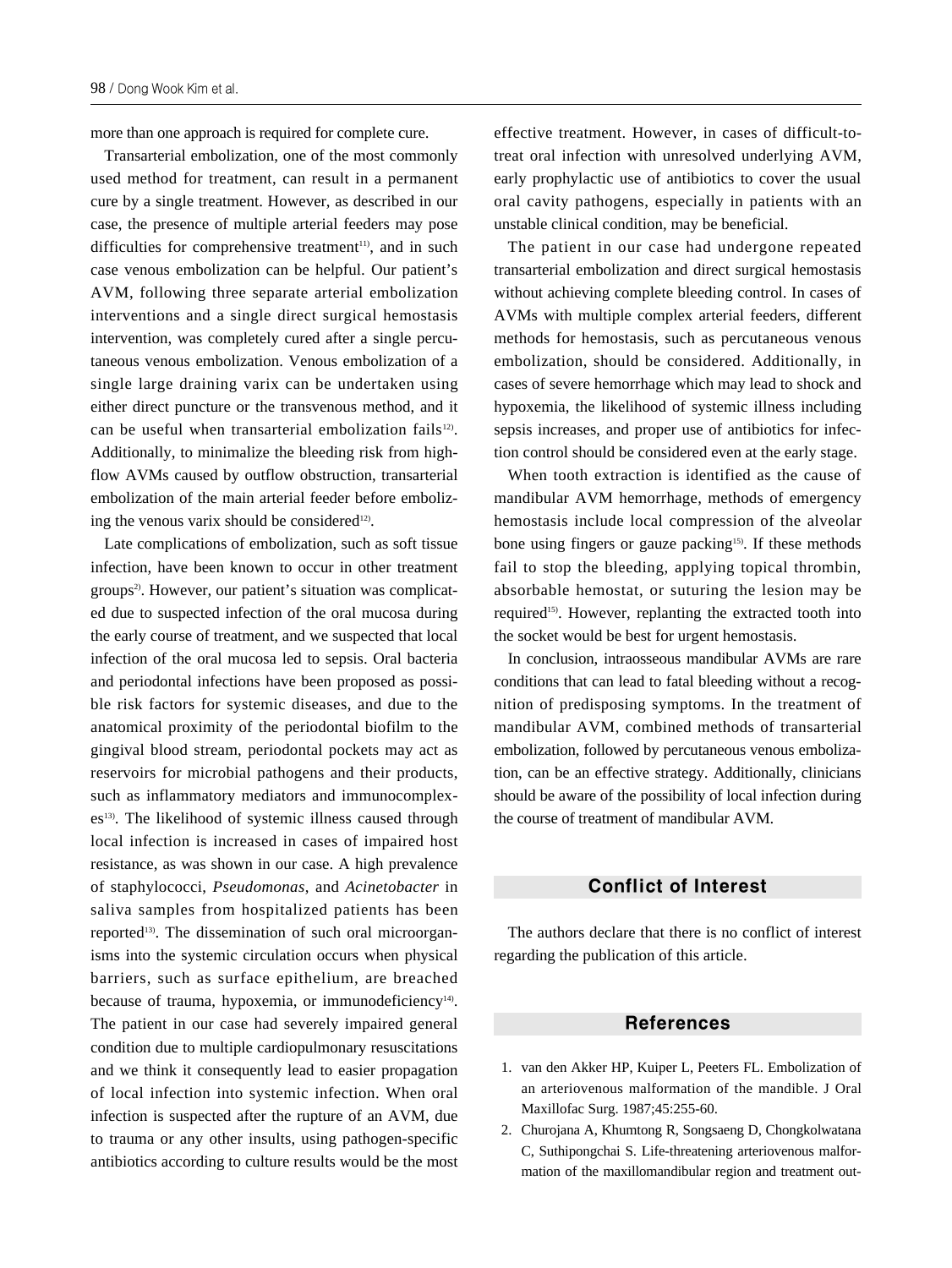more than one approach is required for complete cure.

Transarterial embolization, one of the most commonly used method for treatment, can result in a permanent cure by a single treatment. However, as described in our case, the presence of multiple arterial feeders may pose difficulties for comprehensive treatment<sup>11)</sup>, and in such case venous embolization can be helpful. Our patient's AVM, following three separate arterial embolization interventions and a single direct surgical hemostasis intervention, was completely cured after a single percutaneous venous embolization. Venous embolization of a single large draining varix can be undertaken using either direct puncture or the transvenous method, and it can be useful when transarterial embolization fails<sup>12</sup>. Additionally, to minimalize the bleeding risk from highflow AVMs caused by outflow obstruction, transarterial embolization of the main arterial feeder before embolizing the venous varix should be considered<sup>12)</sup>.

Late complications of embolization, such as soft tissue infection, have been known to occur in other treatment groups<sup>2)</sup>. However, our patient's situation was complicated due to suspected infection of the oral mucosa during the early course of treatment, and we suspected that local infection of the oral mucosa led to sepsis. Oral bacteria and periodontal infections have been proposed as possible risk factors for systemic diseases, and due to the anatomical proximity of the periodontal biofilm to the gingival blood stream, periodontal pockets may act as reservoirs for microbial pathogens and their products, such as inflammatory mediators and immunocomplexes<sup>13)</sup>. The likelihood of systemic illness caused through local infection is increased in cases of impaired host resistance, as was shown in our case. A high prevalence of staphylococci, *Pseudomonas*, and *Acinetobacter* in saliva samples from hospitalized patients has been reported<sup>13)</sup>. The dissemination of such oral microorganisms into the systemic circulation occurs when physical barriers, such as surface epithelium, are breached because of trauma, hypoxemia, or immunodeficiency<sup>14)</sup>. The patient in our case had severely impaired general condition due to multiple cardiopulmonary resuscitations and we think it consequently lead to easier propagation of local infection into systemic infection. When oral infection is suspected after the rupture of an AVM, due to trauma or any other insults, using pathogen-specific antibiotics according to culture results would be the most effective treatment. However, in cases of difficult-totreat oral infection with unresolved underlying AVM, early prophylactic use of antibiotics to cover the usual oral cavity pathogens, especially in patients with an unstable clinical condition, may be beneficial.

The patient in our case had undergone repeated transarterial embolization and direct surgical hemostasis without achieving complete bleeding control. In cases of AVMs with multiple complex arterial feeders, different methods for hemostasis, such as percutaneous venous embolization, should be considered. Additionally, in cases of severe hemorrhage which may lead to shock and hypoxemia, the likelihood of systemic illness including sepsis increases, and proper use of antibiotics for infection control should be considered even at the early stage.

When tooth extraction is identified as the cause of mandibular AVM hemorrhage, methods of emergency hemostasis include local compression of the alveolar bone using fingers or gauze packing<sup>15)</sup>. If these methods fail to stop the bleeding, applying topical thrombin, absorbable hemostat, or suturing the lesion may be required<sup>15)</sup>. However, replanting the extracted tooth into the socket would be best for urgent hemostasis.

In conclusion, intraosseous mandibular AVMs are rare conditions that can lead to fatal bleeding without a recognition of predisposing symptoms. In the treatment of mandibular AVM, combined methods of transarterial embolization, followed by percutaneous venous embolization, can be an effective strategy. Additionally, clinicians should be aware of the possibility of local infection during the course of treatment of mandibular AVM.

### Conflict of Interest

The authors declare that there is no conflict of interest regarding the publication of this article.

#### References

- 01. van den Akker HP, Kuiper L, Peeters FL. Embolization of an arteriovenous malformation of the mandible. J Oral Maxillofac Surg. 1987;45:255-60.
- 02. Churojana A, Khumtong R, Songsaeng D, Chongkolwatana C, Suthipongchai S. Life-threatening arteriovenous malformation of the maxillomandibular region and treatment out-